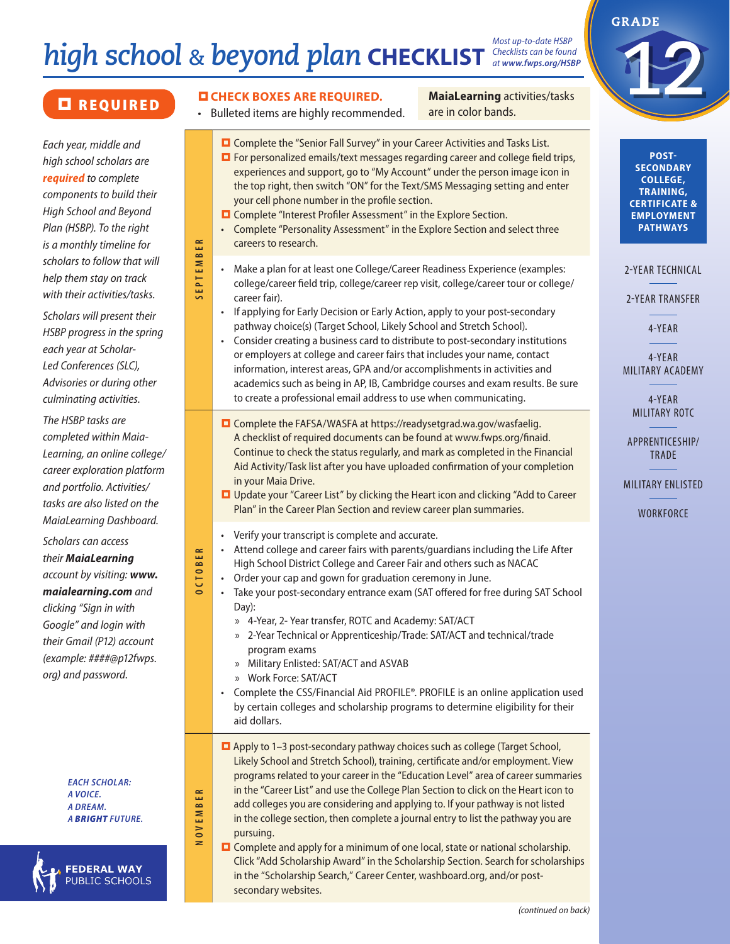# *high school & beyond plan* **CHECKLIST** *Checklists can be found*

careers to research.

career fair).

*Most up-to-date HSBP at www.fwps.org/HSBP*

*Each year, middle and high school scholars are required to complete components to build their High School and Beyond Plan (HSBP). To the right is a monthly timeline for scholars to follow that will help them stay on track with their activities/tasks.* 

**SEPTEMBER**

SEPTEMBER

**OCTOBER**

OCTOBER

**NOVEMBER**

NOVEMBER

*Scholars will present their HSBP progress in the spring each year at Scholar-Led Conferences (SLC), Advisories or during other culminating activities.* 

*The HSBP tasks are completed within Maia-Learning, an online college/ career exploration platform and portfolio. Activities/ tasks are also listed on the MaiaLearning Dashboard.*

*Scholars can access their MaiaLearning account by visiting: www. maialearning.com and clicking "Sign in with Google" and login with their Gmail (P12) account (example: ####@p12fwps. org) and password.*

> *EACH SCHOLAR: A VOICE. A DREAM. A BRIGHT FUTURE.*

**FEDERAL WAY** PUBLIC SCHOOLS

your cell phone number in the profile section.

**D** Complete "Interest Profiler Assessment" in the Explore Section.

**MaiaLearning** activities/tasks **CHECK BOXES ARE REQUIRED.** MaiaLearning activities/tasks **CHECK BOXES ARE REQUIRED.** 



**POST-SECONDARY COLLEGE, TRAINING, CERTIFICATE & EMPLOYMENT PATHWAYS**

2-YEAR TECHNICAL

2-YEAR TRANSFER

4-YEAR

4-YEAR MILITARY ACADEMY

> 4-YEAR MILITARY ROTC

APPRENTICESHIP/ TRADE

MILITARY ENLISTED

**WORKFORCE** 

 Complete the FAFSA/WASFA at https://readysetgrad.wa.gov/wasfaelig. A checklist of required documents can be found at www.fwps.org/finaid. Continue to check the status regularly, and mark as completed in the Financial Aid Activity/Task list after you have uploaded confirmation of your completion in your Maia Drive.

**D** Complete the "Senior Fall Survey" in your Career Activities and Tasks List. **D** For personalized emails/text messages regarding career and college field trips, experiences and support, go to "My Account" under the person image icon in the top right, then switch "ON" for the Text/SMS Messaging setting and enter

• Complete "Personality Assessment" in the Explore Section and select three

• Make a plan for at least one College/Career Readiness Experience (examples: college/career field trip, college/career rep visit, college/career tour or college/

• If applying for Early Decision or Early Action, apply to your post-secondary pathway choice(s) (Target School, Likely School and Stretch School).

to create a professional email address to use when communicating.

• Consider creating a business card to distribute to post-secondary institutions or employers at college and career fairs that includes your name, contact information, interest areas, GPA and/or accomplishments in activities and academics such as being in AP, IB, Cambridge courses and exam results. Be sure

- Update your "Career List" by clicking the Heart icon and clicking "Add to Career Plan" in the Career Plan Section and review career plan summaries.
- Verify your transcript is complete and accurate.
- Attend college and career fairs with parents/guardians including the Life After High School District College and Career Fair and others such as NACAC
- Order your cap and gown for graduation ceremony in June.
- Take your post-secondary entrance exam (SAT offered for free during SAT School Day):
	- » 4-Year, 2- Year transfer, ROTC and Academy: SAT/ACT
	- » 2-Year Technical or Apprenticeship/Trade: SAT/ACT and technical/trade program exams
	- » Military Enlisted: SAT/ACT and ASVAB
	- » Work Force: SAT/ACT
- Complete the CSS/Financial Aid PROFILE®. PROFILE is an online application used by certain colleges and scholarship programs to determine eligibility for their aid dollars.
- Apply to 1-3 post-secondary pathway choices such as college (Target School, Likely School and Stretch School), training, certificate and/or employment. View programs related to your career in the "Education Level" area of career summaries in the "Career List" and use the College Plan Section to click on the Heart icon to add colleges you are considering and applying to. If your pathway is not listed in the college section, then complete a journal entry to list the pathway you are pursuing.
- $\Box$  Complete and apply for a minimum of one local, state or national scholarship. Click "Add Scholarship Award" in the Scholarship Section. Search for scholarships in the "Scholarship Search," Career Center, washboard.org, and/or postsecondary websites.

*(continued on back)*